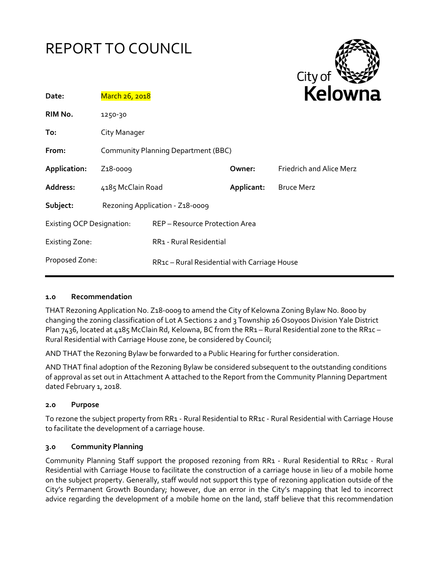# REPORT TO COUNCIL



| Date:                            | March 26, 2018                      |                                              |            | <b>Kelowi</b>                   |
|----------------------------------|-------------------------------------|----------------------------------------------|------------|---------------------------------|
| RIM No.                          | 1250-30                             |                                              |            |                                 |
| To:                              | City Manager                        |                                              |            |                                 |
| From:                            | Community Planning Department (BBC) |                                              |            |                                 |
| Application:                     | Z <sub>1</sub> 8-0009               |                                              | Owner:     | <b>Friedrich and Alice Merz</b> |
| Address:                         | 4185 McClain Road                   |                                              | Applicant: | <b>Bruce Merz</b>               |
| Subject:                         | Rezoning Application - Z18-0009     |                                              |            |                                 |
| <b>Existing OCP Designation:</b> |                                     | REP - Resource Protection Area               |            |                                 |
| <b>Existing Zone:</b>            |                                     | RR1 - Rural Residential                      |            |                                 |
| Proposed Zone:                   |                                     | RR1c - Rural Residential with Carriage House |            |                                 |

#### **1.0 Recommendation**

THAT Rezoning Application No. Z18-0009 to amend the City of Kelowna Zoning Bylaw No. 8000 by changing the zoning classification of Lot A Sections 2 and 3 Township 26 Osoyoos Division Yale District Plan 7436, located at 4185 McClain Rd, Kelowna, BC from the RR1 – Rural Residential zone to the RR1c – Rural Residential with Carriage House zone, be considered by Council;

AND THAT the Rezoning Bylaw be forwarded to a Public Hearing for further consideration.

AND THAT final adoption of the Rezoning Bylaw be considered subsequent to the outstanding conditions of approval as set out in Attachment A attached to the Report from the Community Planning Department dated February 1, 2018.

# **2.0 Purpose**

To rezone the subject property from RR1 - Rural Residential to RR1c - Rural Residential with Carriage House to facilitate the development of a carriage house.

#### **3.0 Community Planning**

Community Planning Staff support the proposed rezoning from RR1 - Rural Residential to RR1c - Rural Residential with Carriage House to facilitate the construction of a carriage house in lieu of a mobile home on the subject property. Generally, staff would not support this type of rezoning application outside of the City's Permanent Growth Boundary; however, due an error in the City's mapping that led to incorrect advice regarding the development of a mobile home on the land, staff believe that this recommendation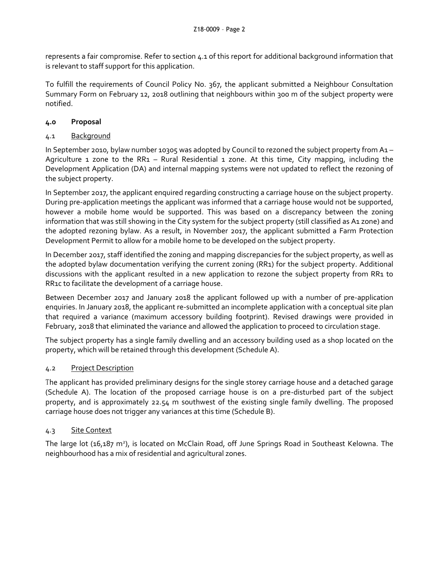represents a fair compromise. Refer to section 4.1 of this report for additional background information that is relevant to staff support for this application.

To fulfill the requirements of Council Policy No. 367, the applicant submitted a Neighbour Consultation Summary Form on February 12, 2018 outlining that neighbours within 300 m of the subject property were notified.

# **4.0 Proposal**

# 4.1 Background

In September 2010, bylaw number 10305 was adopted by Council to rezoned the subject property from A1 – Agriculture 1 zone to the RR1 – Rural Residential 1 zone. At this time, City mapping, including the Development Application (DA) and internal mapping systems were not updated to reflect the rezoning of the subject property.

In September 2017, the applicant enquired regarding constructing a carriage house on the subject property. During pre-application meetings the applicant was informed that a carriage house would not be supported, however a mobile home would be supported. This was based on a discrepancy between the zoning information that was still showing in the City system for the subject property (still classified as A1 zone) and the adopted rezoning bylaw. As a result, in November 2017, the applicant submitted a Farm Protection Development Permit to allow for a mobile home to be developed on the subject property.

In December 2017, staff identified the zoning and mapping discrepancies for the subject property, as well as the adopted bylaw documentation verifying the current zoning (RR1) for the subject property. Additional discussions with the applicant resulted in a new application to rezone the subject property from RR1 to RR1c to facilitate the development of a carriage house.

Between December 2017 and January 2018 the applicant followed up with a number of pre-application enquiries. In January 2018, the applicant re-submitted an incomplete application with a conceptual site plan that required a variance (maximum accessory building footprint). Revised drawings were provided in February, 2018 that eliminated the variance and allowed the application to proceed to circulation stage.

The subject property has a single family dwelling and an accessory building used as a shop located on the property, which will be retained through this development (Schedule A).

# 4.2 Project Description

The applicant has provided preliminary designs for the single storey carriage house and a detached garage (Schedule A). The location of the proposed carriage house is on a pre-disturbed part of the subject property, and is approximately 22.54 m southwest of the existing single family dwelling. The proposed carriage house does not trigger any variances at this time (Schedule B).

# 4.3 Site Context

The large lot (16,187 m<sup>2</sup>), is located on McClain Road, off June Springs Road in Southeast Kelowna. The neighbourhood has a mix of residential and agricultural zones.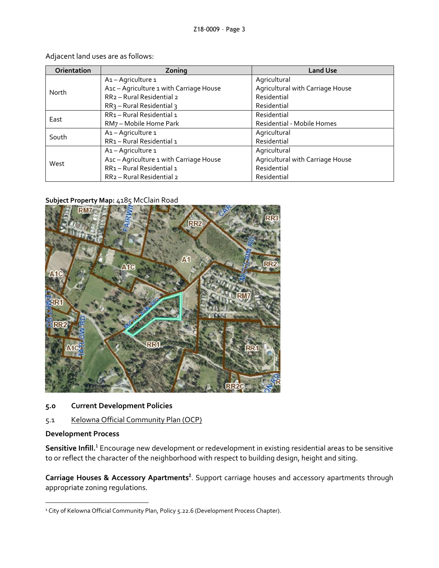| Orientation | Zoning                                    | <b>Land Use</b>                  |
|-------------|-------------------------------------------|----------------------------------|
| North       | A1-Agriculture 1                          | Agricultural                     |
|             | A1c - Agriculture 1 with Carriage House   | Agricultural with Carriage House |
|             | RR <sub>2</sub> - Rural Residential 2     | Residential                      |
|             | $RR3$ – Rural Residential 3               | Residential                      |
| East        | RR1 - Rural Residential 1                 | Residential                      |
|             | RM7 - Mobile Home Park                    | Residential - Mobile Homes       |
| South       | A1-Agriculture 1                          | Agricultural                     |
|             | RR1-Rural Residential 1                   | Residential                      |
| West        | A <sub>1</sub> - Agriculture <sub>1</sub> | Agricultural                     |
|             | A1c - Agriculture 1 with Carriage House   | Agricultural with Carriage House |
|             | RR1-Rural Residential 1                   | Residential                      |
|             | RR2 - Rural Residential 2                 | Residential                      |

Adjacent land uses are as follows:

#### **Subject Property Map:** 4185 McClain Road



# **5.0 Current Development Policies**

# 5.1 Kelowna Official Community Plan (OCP)

# **Development Process**

-

**Sensitive Infill.**<sup>1</sup> Encourage new development or redevelopment in existing residential areas to be sensitive to or reflect the character of the neighborhood with respect to building design, height and siting.

Carriage Houses & Accessory Apartments<sup>2</sup>. Support carriage houses and accessory apartments through appropriate zoning regulations.

<sup>&</sup>lt;sup>1</sup> City of Kelowna Official Community Plan, Policy 5.22.6 (Development Process Chapter).